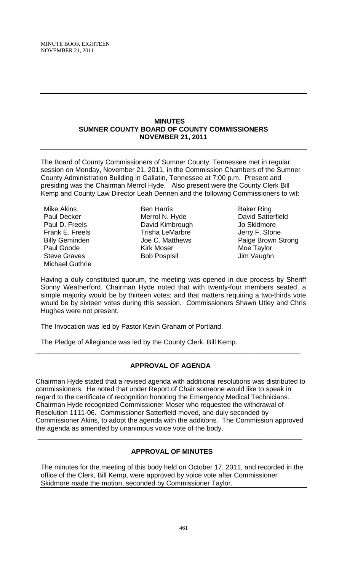# **MINUTES SUMNER COUNTY BOARD OF COUNTY COMMISSIONERS NOVEMBER 21, 2011**

The Board of County Commissioners of Sumner County, Tennessee met in regular session on Monday, November 21, 2011, in the Commission Chambers of the Sumner County Administration Building in Gallatin, Tennessee at 7:00 p.m. Present and presiding was the Chairman Merrol Hyde. Also present were the County Clerk Bill Kemp and County Law Director Leah Dennen and the following Commissioners to wit:

Mike Akins Paul Decker Paul D. Freels Frank E. Freels Billy Geminden Paul Goode Steve Graves Michael Guthrie

Ben Harris Merrol N. Hyde David Kimbrough Trisha LeMarbre Joe C. Matthews Kirk Moser Bob Pospisil

Baker Ring David Satterfield Jo Skidmore Jerry F. Stone Paige Brown Strong Moe Taylor Jim Vaughn

Having a duly constituted quorum, the meeting was opened in due process by Sheriff Sonny Weatherford. Chairman Hyde noted that with twenty-four members seated, a simple majority would be by thirteen votes; and that matters requiring a two-thirds vote would be by sixteen votes during this session. Commissioners Shawn Utley and Chris Hughes were not present.

The Invocation was led by Pastor Kevin Graham of Portland.

The Pledge of Allegiance was led by the County Clerk, Bill Kemp.

# **APPROVAL OF AGENDA**

\_\_\_\_\_\_\_\_\_\_\_\_\_\_\_\_\_\_\_\_\_\_\_\_\_\_\_\_\_\_\_\_\_\_\_\_\_\_\_\_\_\_\_\_\_\_\_\_\_\_\_\_\_\_\_\_\_\_\_\_\_\_\_\_\_\_\_\_\_\_

Chairman Hyde stated that a revised agenda with additional resolutions was distributed to commissioners. He noted that under Report of Chair someone would like to speak in regard to the certificate of recognition honoring the Emergency Medical Technicians. Chairman Hyde recognized Commissioner Moser who requested the withdrawal of Resolution 1111-06. Commissioner Satterfield moved, and duly seconded by Commissioner Akins, to adopt the agenda with the additions. The Commission approved the agenda as amended by unanimous voice vote of the body.

# **APPROVAL OF MINUTES**

\_\_\_\_\_\_\_\_\_\_\_\_\_\_\_\_\_\_\_\_\_\_\_\_\_\_\_\_\_\_\_\_\_\_\_\_\_\_\_\_\_\_\_\_\_\_\_\_\_\_\_\_\_\_\_\_\_\_\_\_\_\_\_\_\_\_\_\_\_\_

The minutes for the meeting of this body held on October 17, 2011, and recorded in the office of the Clerk, Bill Kemp, were approved by voice vote after Commissioner Skidmore made the motion, seconded by Commissioner Taylor.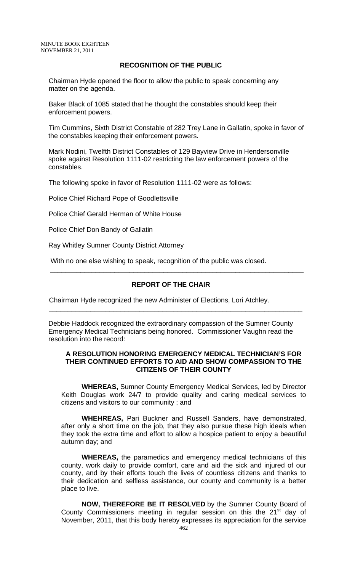# **RECOGNITION OF THE PUBLIC**

Chairman Hyde opened the floor to allow the public to speak concerning any matter on the agenda.

Baker Black of 1085 stated that he thought the constables should keep their enforcement powers.

Tim Cummins, Sixth District Constable of 282 Trey Lane in Gallatin, spoke in favor of the constables keeping their enforcement powers.

Mark Nodini, Twelfth District Constables of 129 Bayview Drive in Hendersonville spoke against Resolution 1111-02 restricting the law enforcement powers of the constables.

The following spoke in favor of Resolution 1111-02 were as follows:

Police Chief Richard Pope of Goodlettsville

Police Chief Gerald Herman of White House

Police Chief Don Bandy of Gallatin

Ray Whitley Sumner County District Attorney

With no one else wishing to speak, recognition of the public was closed.

# **REPORT OF THE CHAIR**

 $\overline{\phantom{a}}$  , and the contract of the contract of the contract of the contract of the contract of the contract of the contract of the contract of the contract of the contract of the contract of the contract of the contrac

 $\overline{\phantom{a}...}$  ,  $\overline{\phantom{a}...}$  ,  $\overline{\phantom{a}...}$  ,  $\overline{\phantom{a}...}$  ,  $\overline{\phantom{a}...}$  ,  $\overline{\phantom{a}...}$  ,  $\overline{\phantom{a}...}$  ,  $\overline{\phantom{a}...}$  ,  $\overline{\phantom{a}...}$  ,  $\overline{\phantom{a}...}$  ,  $\overline{\phantom{a}...}$  ,  $\overline{\phantom{a}...}$  ,  $\overline{\phantom{a}...}$  ,  $\overline{\phantom{a}...}$ 

Chairman Hyde recognized the new Administer of Elections, Lori Atchley.

Debbie Haddock recognized the extraordinary compassion of the Sumner County Emergency Medical Technicians being honored. Commissioner Vaughn read the resolution into the record:

# **A RESOLUTION HONORING EMERGENCY MEDICAL TECHNICIAN'S FOR THEIR CONTINUED EFFORTS TO AID AND SHOW COMPASSION TO THE CITIZENS OF THEIR COUNTY**

 **WHEREAS,** Sumner County Emergency Medical Services, led by Director Keith Douglas work 24/7 to provide quality and caring medical services to citizens and visitors to our community ; and

**WHEHREAS,** Pari Buckner and Russell Sanders, have demonstrated, after only a short time on the job, that they also pursue these high ideals when they took the extra time and effort to allow a hospice patient to enjoy a beautiful autumn day; and

**WHEREAS,** the paramedics and emergency medical technicians of this county, work daily to provide comfort, care and aid the sick and injured of our county, and by their efforts touch the lives of countless citizens and thanks to their dedication and selfless assistance, our county and community is a better place to live.

**NOW, THEREFORE BE IT RESOLVED** by the Sumner County Board of County Commissioners meeting in regular session on this the 21<sup>st</sup> day of November, 2011, that this body hereby expresses its appreciation for the service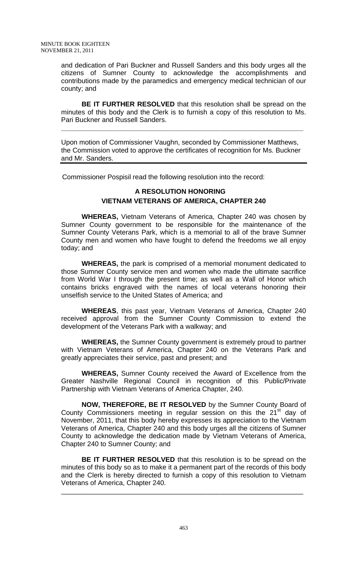and dedication of Pari Buckner and Russell Sanders and this body urges all the citizens of Sumner County to acknowledge the accomplishments and contributions made by the paramedics and emergency medical technician of our county; and

**BE IT FURTHER RESOLVED** that this resolution shall be spread on the minutes of this body and the Clerk is to furnish a copy of this resolution to Ms. Pari Buckner and Russell Sanders.

Upon motion of Commissioner Vaughn, seconded by Commissioner Matthews, the Commission voted to approve the certificates of recognition for Ms. Buckner and Mr. Sanders.

**\_\_\_\_\_\_\_\_\_\_\_\_\_\_\_\_\_\_\_\_\_\_\_\_\_\_\_\_\_\_\_\_\_\_\_\_\_\_\_\_\_\_\_\_\_\_\_\_\_\_\_\_\_\_\_\_\_\_\_\_\_\_\_\_**

Commissioner Pospisil read the following resolution into the record:

# **A RESOLUTION HONORING VIETNAM VETERANS OF AMERICA, CHAPTER 240**

 **WHEREAS,** Vietnam Veterans of America, Chapter 240 was chosen by Sumner County government to be responsible for the maintenance of the Sumner County Veterans Park, which is a memorial to all of the brave Sumner County men and women who have fought to defend the freedoms we all enjoy today; and

**WHEREAS,** the park is comprised of a memorial monument dedicated to those Sumner County service men and women who made the ultimate sacrifice from World War I through the present time; as well as a Wall of Honor which contains bricks engraved with the names of local veterans honoring their unselfish service to the United States of America; and

**WHEREAS**, this past year, Vietnam Veterans of America, Chapter 240 received approval from the Sumner County Commission to extend the development of the Veterans Park with a walkway; and

**WHEREAS,** the Sumner County government is extremely proud to partner with Vietnam Veterans of America, Chapter 240 on the Veterans Park and greatly appreciates their service, past and present; and

**WHEREAS,** Sumner County received the Award of Excellence from the Greater Nashville Regional Council in recognition of this Public/Private Partnership with Vietnam Veterans of America Chapter, 240.

**NOW, THEREFORE, BE IT RESOLVED** by the Sumner County Board of County Commissioners meeting in regular session on this the  $21<sup>st</sup>$  day of November, 2011, that this body hereby expresses its appreciation to the Vietnam Veterans of America, Chapter 240 and this body urges all the citizens of Sumner County to acknowledge the dedication made by Vietnam Veterans of America, Chapter 240 to Sumner County; and

**BE IT FURTHER RESOLVED** that this resolution is to be spread on the minutes of this body so as to make it a permanent part of the records of this body and the Clerk is hereby directed to furnish a copy of this resolution to Vietnam Veterans of America, Chapter 240.

\_\_\_\_\_\_\_\_\_\_\_\_\_\_\_\_\_\_\_\_\_\_\_\_\_\_\_\_\_\_\_\_\_\_\_\_\_\_\_\_\_\_\_\_\_\_\_\_\_\_\_\_\_\_\_\_\_\_\_\_\_\_\_\_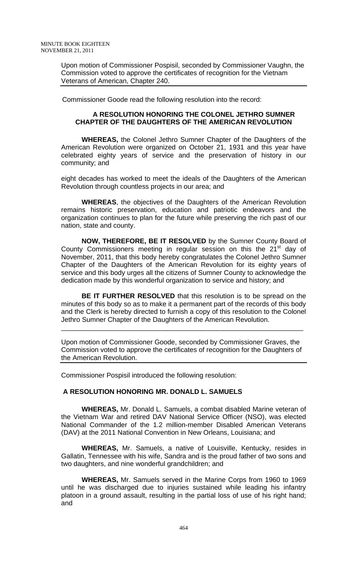Upon motion of Commissioner Pospisil, seconded by Commissioner Vaughn, the Commission voted to approve the certificates of recognition for the Vietnam Veterans of American, Chapter 240.

Commissioner Goode read the following resolution into the record:

# **A RESOLUTION HONORING THE COLONEL JETHRO SUMNER CHAPTER OF THE DAUGHTERS OF THE AMERICAN REVOLUTION**

 **WHEREAS,** the Colonel Jethro Sumner Chapter of the Daughters of the American Revolution were organized on October 21, 1931 and this year have celebrated eighty years of service and the preservation of history in our community; and

eight decades has worked to meet the ideals of the Daughters of the American Revolution through countless projects in our area; and

**WHEREAS**, the objectives of the Daughters of the American Revolution remains historic preservation, education and patriotic endeavors and the organization continues to plan for the future while preserving the rich past of our nation, state and county.

**NOW, THEREFORE, BE IT RESOLVED** by the Sumner County Board of County Commissioners meeting in regular session on this the  $21<sup>st</sup>$  day of November, 2011, that this body hereby congratulates the Colonel Jethro Sumner Chapter of the Daughters of the American Revolution for its eighty years of service and this body urges all the citizens of Sumner County to acknowledge the dedication made by this wonderful organization to service and history; and

**BE IT FURTHER RESOLVED** that this resolution is to be spread on the minutes of this body so as to make it a permanent part of the records of this body and the Clerk is hereby directed to furnish a copy of this resolution to the Colonel Jethro Sumner Chapter of the Daughters of the American Revolution.

Upon motion of Commissioner Goode, seconded by Commissioner Graves, the Commission voted to approve the certificates of recognition for the Daughters of the American Revolution.

\_\_\_\_\_\_\_\_\_\_\_\_\_\_\_\_\_\_\_\_\_\_\_\_\_\_\_\_\_\_\_\_\_\_\_\_\_\_\_\_\_\_\_\_\_\_\_\_\_\_\_\_\_\_\_\_\_\_\_\_\_\_\_\_

Commissioner Pospisil introduced the following resolution:

# **A RESOLUTION HONORING MR. DONALD L. SAMUELS**

**WHEREAS,** Mr. Donald L. Samuels, a combat disabled Marine veteran of the Vietnam War and retired DAV National Service Officer (NSO), was elected National Commander of the 1.2 million-member Disabled American Veterans (DAV) at the 2011 National Convention in New Orleans, Louisiana; and

**WHEREAS,** Mr. Samuels, a native of Louisville, Kentucky, resides in Gallatin, Tennessee with his wife, Sandra and is the proud father of two sons and two daughters, and nine wonderful grandchildren; and

**WHEREAS,** Mr. Samuels served in the Marine Corps from 1960 to 1969 until he was discharged due to injuries sustained while leading his infantry platoon in a ground assault, resulting in the partial loss of use of his right hand; and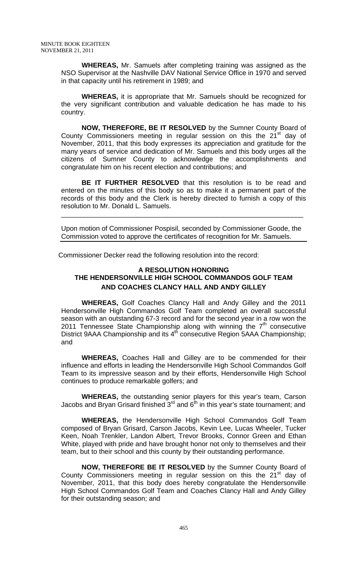**WHEREAS,** Mr. Samuels after completing training was assigned as the NSO Supervisor at the Nashville DAV National Service Office in 1970 and served in that capacity until his retirement in 1989; and

**WHEREAS,** it is appropriate that Mr. Samuels should be recognized for the very significant contribution and valuable dedication he has made to his country.

**NOW, THEREFORE, BE IT RESOLVED** by the Sumner County Board of County Commissioners meeting in regular session on this the 21<sup>st</sup> day of November, 2011, that this body expresses its appreciation and gratitude for the many years of service and dedication of Mr. Samuels and this body urges all the citizens of Sumner County to acknowledge the accomplishments and congratulate him on his recent election and contributions; and

**BE IT FURTHER RESOLVED** that this resolution is to be read and entered on the minutes of this body so as to make it a permanent part of the records of this body and the Clerk is hereby directed to furnish a copy of this resolution to Mr. Donald L. Samuels.

Upon motion of Commissioner Pospisil, seconded by Commissioner Goode, the Commission voted to approve the certificates of recognition for Mr. Samuels.

\_\_\_\_\_\_\_\_\_\_\_\_\_\_\_\_\_\_\_\_\_\_\_\_\_\_\_\_\_\_\_\_\_\_\_\_\_\_\_\_\_\_\_\_\_\_\_\_\_\_\_\_\_\_\_\_\_\_\_\_\_\_\_\_

Commissioner Decker read the following resolution into the record:

# **A RESOLUTION HONORING THE HENDERSONVILLE HIGH SCHOOL COMMANDOS GOLF TEAM AND COACHES CLANCY HALL AND ANDY GILLEY**

 **WHEREAS,** Golf Coaches Clancy Hall and Andy Gilley and the 2011 Hendersonville High Commandos Golf Team completed an overall successful season with an outstanding 67-3 record and for the second year in a row won the 2011 Tennessee State Championship along with winning the  $7<sup>th</sup>$  consecutive District 9AAA Championship and its 4<sup>th</sup> consecutive Region 5AAA Championship; and

**WHEREAS,** Coaches Hall and Gilley are to be commended for their influence and efforts in leading the Hendersonville High School Commandos Golf Team to its impressive season and by their efforts, Hendersonville High School continues to produce remarkable golfers; and

**WHEREAS,** the outstanding senior players for this year's team, Carson Jacobs and Bryan Grisard finished  $3^{\mathsf{rd}}$  and  $6^{\mathsf{th}}$  in this year's state tournament; and

**WHEREAS,** the Hendersonville High School Commandos Golf Team composed of Bryan Grisard, Carson Jacobs, Kevin Lee, Lucas Wheeler, Tucker Keen, Noah Trenkler, Landon Albert, Trevor Brooks, Connor Green and Ethan White, played with pride and have brought honor not only to themselves and their team, but to their school and this county by their outstanding performance.

**NOW, THEREFORE BE IT RESOLVED** by the Sumner County Board of County Commissioners meeting in regular session on this the  $21<sup>st</sup>$  day of November, 2011, that this body does hereby congratulate the Hendersonville High School Commandos Golf Team and Coaches Clancy Hall and Andy Gilley for their outstanding season; and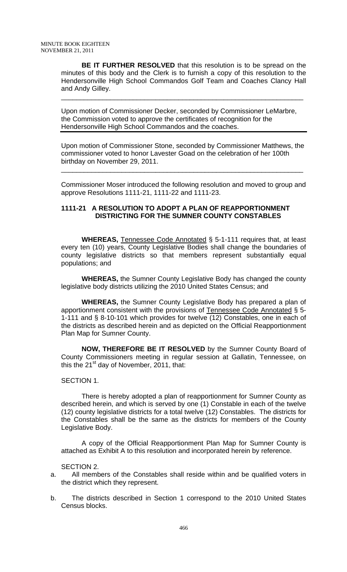**BE IT FURTHER RESOLVED** that this resolution is to be spread on the minutes of this body and the Clerk is to furnish a copy of this resolution to the Hendersonville High School Commandos Golf Team and Coaches Clancy Hall and Andy Gilley.

\_\_\_\_\_\_\_\_\_\_\_\_\_\_\_\_\_\_\_\_\_\_\_\_\_\_\_\_\_\_\_\_\_\_\_\_\_\_\_\_\_\_\_\_\_\_\_\_\_\_\_\_\_\_\_\_\_\_\_\_\_\_\_\_

Upon motion of Commissioner Decker, seconded by Commissioner LeMarbre, the Commission voted to approve the certificates of recognition for the Hendersonville High School Commandos and the coaches.

Upon motion of Commissioner Stone, seconded by Commissioner Matthews, the commissioner voted to honor Lavester Goad on the celebration of her 100th birthday on November 29, 2011.

\_\_\_\_\_\_\_\_\_\_\_\_\_\_\_\_\_\_\_\_\_\_\_\_\_\_\_\_\_\_\_\_\_\_\_\_\_\_\_\_\_\_\_\_\_\_\_\_\_\_\_\_\_\_\_\_\_\_\_\_\_\_\_\_

Commissioner Moser introduced the following resolution and moved to group and approve Resolutions 1111-21, 1111-22 and 1111-23.

# **1111-21 A RESOLUTION TO ADOPT A PLAN OF REAPPORTIONMENT DISTRICTING FOR THE SUMNER COUNTY CONSTABLES**

**WHEREAS,** Tennessee Code Annotated § 5-1-111 requires that, at least every ten (10) years, County Legislative Bodies shall change the boundaries of county legislative districts so that members represent substantially equal populations; and

**WHEREAS,** the Sumner County Legislative Body has changed the county legislative body districts utilizing the 2010 United States Census; and

**WHEREAS,** the Sumner County Legislative Body has prepared a plan of apportionment consistent with the provisions of Tennessee Code Annotated § 5- 1-111 and § 8-10-101 which provides for twelve (12) Constables, one in each of the districts as described herein and as depicted on the Official Reapportionment Plan Map for Sumner County.

**NOW, THEREFORE BE IT RESOLVED** by the Sumner County Board of County Commissioners meeting in regular session at Gallatin, Tennessee, on this the  $21^{st}$  day of November, 2011, that:

# SECTION 1.

 There is hereby adopted a plan of reapportionment for Sumner County as described herein, and which is served by one (1) Constable in each of the twelve (12) county legislative districts for a total twelve (12) Constables. The districts for the Constables shall be the same as the districts for members of the County Legislative Body.

 A copy of the Official Reapportionment Plan Map for Sumner County is attached as Exhibit A to this resolution and incorporated herein by reference.

# SECTION 2.

- a. All members of the Constables shall reside within and be qualified voters in the district which they represent.
- b. The districts described in Section 1 correspond to the 2010 United States Census blocks.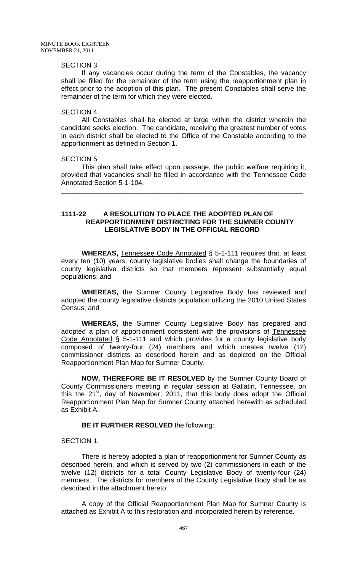#### SECTION 3.

 If any vacancies occur during the term of the Constables, the vacancy shall be filled for the remainder of the term using the reapportionment plan in effect prior to the adoption of this plan. The present Constables shall serve the remainder of the term for which they were elected.

#### SECTION 4.

 All Constables shall be elected at large within the district wherein the candidate seeks election. The candidate, receiving the greatest number of votes in each district shall be elected to the Office of the Constable according to the apportionment as defined in Section 1.

#### SECTION 5.

 This plan shall take effect upon passage, the public welfare requiring it, provided that vacancies shall be filled in accordance with the Tennessee Code Annotated Section 5-1-104.

\_\_\_\_\_\_\_\_\_\_\_\_\_\_\_\_\_\_\_\_\_\_\_\_\_\_\_\_\_\_\_\_\_\_\_\_\_\_\_\_\_\_\_\_\_\_\_\_\_\_\_\_\_\_\_\_\_\_\_\_\_\_\_\_

## **1111-22 A RESOLUTION TO PLACE THE ADOPTED PLAN OF REAPPORTIONMENT DISTRICTING FOR THE SUMNER COUNTY LEGISLATIVE BODY IN THE OFFICIAL RECORD**

**WHEREAS,** Tennessee Code Annotated § 5-1-111 requires that, at least every ten (10) years, county legislative bodies shall change the boundaries of county legislative districts so that members represent substantially equal populations; and

**WHEREAS,** the Sumner County Legislative Body has reviewed and adopted the county legislative districts population utilizing the 2010 United States Census; and

**WHEREAS,** the Sumner County Legislative Body has prepared and adopted a plan of apportionment consistent with the provisions of Tennessee Code Annotated § 5-1-111 and which provides for a county legislative body composed of twenty-four (24) members and which creates twelve (12) commissioner districts as described herein and as depicted on the Official Reapportionment Plan Map for Sumner County.

**NOW, THEREFORE BE IT RESOLVED** by the Sumner County Board of County Commissioners meeting in regular session at Gallatin, Tennessee, on this the  $21^{st}$ , day of November, 2011, that this body does adopt the Official Reapportionment Plan Map for Sumner County attached herewith as scheduled as Exhibit A.

#### **BE IT FURTHER RESOLVED** the following:

# SECTION 1.

 There is hereby adopted a plan of reapportionment for Sumner County as described herein, and which is served by two (2) commissioners in each of the twelve (12) districts for a total County Legislative Body of twenty-four (24) members. The districts for members of the County Legislative Body shall be as described in the attachment hereto:

 A copy of the Official Reapportionment Plan Map for Sumner County is attached as Exhibit A to this restoration and incorporated herein by reference.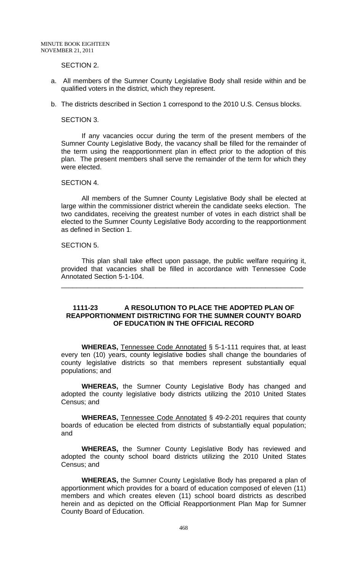## SECTION 2.

- a. All members of the Sumner County Legislative Body shall reside within and be qualified voters in the district, which they represent.
- b. The districts described in Section 1 correspond to the 2010 U.S. Census blocks.

#### SECTION 3.

 If any vacancies occur during the term of the present members of the Sumner County Legislative Body, the vacancy shall be filled for the remainder of the term using the reapportionment plan in effect prior to the adoption of this plan. The present members shall serve the remainder of the term for which they were elected.

#### SECTION 4.

 All members of the Sumner County Legislative Body shall be elected at large within the commissioner district wherein the candidate seeks election. The two candidates, receiving the greatest number of votes in each district shall be elected to the Sumner County Legislative Body according to the reapportionment as defined in Section 1.

#### SECTION 5.

 This plan shall take effect upon passage, the public welfare requiring it, provided that vacancies shall be filled in accordance with Tennessee Code Annotated Section 5-1-104.

\_\_\_\_\_\_\_\_\_\_\_\_\_\_\_\_\_\_\_\_\_\_\_\_\_\_\_\_\_\_\_\_\_\_\_\_\_\_\_\_\_\_\_\_\_\_\_\_\_\_\_\_\_\_\_\_\_\_\_\_\_\_\_\_

# **1111-23 A RESOLUTION TO PLACE THE ADOPTED PLAN OF REAPPORTIONMENT DISTRICTING FOR THE SUMNER COUNTY BOARD OF EDUCATION IN THE OFFICIAL RECORD**

**WHEREAS,** Tennessee Code Annotated § 5-1-111 requires that, at least every ten (10) years, county legislative bodies shall change the boundaries of county legislative districts so that members represent substantially equal populations; and

**WHEREAS,** the Sumner County Legislative Body has changed and adopted the county legislative body districts utilizing the 2010 United States Census; and

**WHEREAS,** Tennessee Code Annotated § 49-2-201 requires that county boards of education be elected from districts of substantially equal population; and

**WHEREAS,** the Sumner County Legislative Body has reviewed and adopted the county school board districts utilizing the 2010 United States Census; and

**WHEREAS,** the Sumner County Legislative Body has prepared a plan of apportionment which provides for a board of education composed of eleven (11) members and which creates eleven (11) school board districts as described herein and as depicted on the Official Reapportionment Plan Map for Sumner County Board of Education.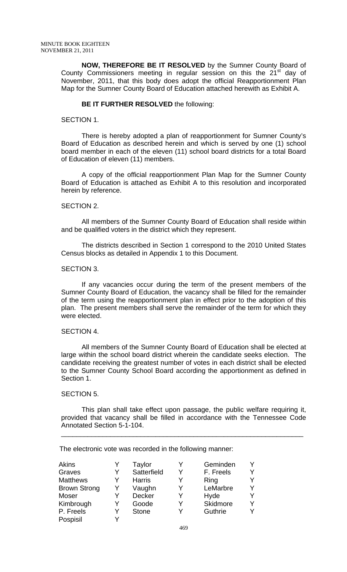**NOW, THEREFORE BE IT RESOLVED** by the Sumner County Board of County Commissioners meeting in regular session on this the 21<sup>st</sup> day of November, 2011, that this body does adopt the official Reapportionment Plan Map for the Sumner County Board of Education attached herewith as Exhibit A.

# **BE IT FURTHER RESOLVED** the following:

#### SECTION 1.

 There is hereby adopted a plan of reapportionment for Sumner County's Board of Education as described herein and which is served by one (1) school board member in each of the eleven (11) school board districts for a total Board of Education of eleven (11) members.

 A copy of the official reapportionment Plan Map for the Sumner County Board of Education is attached as Exhibit A to this resolution and incorporated herein by reference.

#### SECTION 2.

 All members of the Sumner County Board of Education shall reside within and be qualified voters in the district which they represent.

 The districts described in Section 1 correspond to the 2010 United States Census blocks as detailed in Appendix 1 to this Document.

#### SECTION 3.

 If any vacancies occur during the term of the present members of the Sumner County Board of Education, the vacancy shall be filled for the remainder of the term using the reapportionment plan in effect prior to the adoption of this plan. The present members shall serve the remainder of the term for which they were elected.

#### SECTION 4.

 All members of the Sumner County Board of Education shall be elected at large within the school board district wherein the candidate seeks election. The candidate receiving the greatest number of votes in each district shall be elected to the Sumner County School Board according the apportionment as defined in Section 1.

#### SECTION 5.

 This plan shall take effect upon passage, the public welfare requiring it, provided that vacancy shall be filled in accordance with the Tennessee Code Annotated Section 5-1-104.

\_\_\_\_\_\_\_\_\_\_\_\_\_\_\_\_\_\_\_\_\_\_\_\_\_\_\_\_\_\_\_\_\_\_\_\_\_\_\_\_\_\_\_\_\_\_\_\_\_\_\_\_\_\_\_\_\_\_\_\_\_\_\_\_

The electronic vote was recorded in the following manner:

| <b>Akins</b>        |   | Taylor        |   | Geminden  |   |
|---------------------|---|---------------|---|-----------|---|
| Graves              | Y | Satterfield   | Y | F. Freels |   |
| <b>Matthews</b>     | Y | <b>Harris</b> | Y | Ring      |   |
| <b>Brown Strong</b> | Y | Vaughn        | Y | LeMarbre  |   |
| Moser               | Y | Decker        | Y | Hyde      |   |
| Kimbrough           | Y | Goode         | Y | Skidmore  | v |
| P. Freels           | Y | <b>Stone</b>  | v | Guthrie   |   |
| Pospisil            |   |               |   |           |   |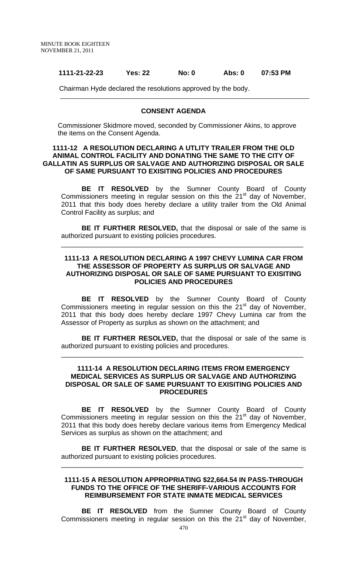#### **1111-21-22-23 Yes: 22 No: 0 Abs: 0 07:53 PM**

Chairman Hyde declared the resolutions approved by the body.

#### **CONSENT AGENDA**

Commissioner Skidmore moved, seconded by Commissioner Akins, to approve the items on the Consent Agenda.

## **1111-12 A RESOLUTION DECLARING A UTLITY TRAILER FROM THE OLD ANIMAL CONTROL FACILITY AND DONATING THE SAME TO THE CITY OF GALLATIN AS SURPLUS OR SALVAGE AND AUTHORIZING DISPOSAL OR SALE OF SAME PURSUANT TO EXISITING POLICIES AND PROCEDURES**

 **BE IT RESOLVED** by the Sumner County Board of County Commissioners meeting in regular session on this the  $21<sup>st</sup>$  day of November, 2011 that this body does hereby declare a utility trailer from the Old Animal Control Facility as surplus; and

**BE IT FURTHER RESOLVED,** that the disposal or sale of the same is authorized pursuant to existing policies procedures.

\_\_\_\_\_\_\_\_\_\_\_\_\_\_\_\_\_\_\_\_\_\_\_\_\_\_\_\_\_\_\_\_\_\_\_\_\_\_\_\_\_\_\_\_\_\_\_\_\_\_\_\_\_\_\_\_\_\_\_\_\_\_\_\_

# **1111-13 A RESOLUTION DECLARING A 1997 CHEVY LUMINA CAR FROM THE ASSESSOR OF PROPERTY AS SURPLUS OR SALVAGE AND AUTHORIZING DISPOSAL OR SALE OF SAME PURSUANT TO EXISITING POLICIES AND PROCEDURES**

 **BE IT RESOLVED** by the Sumner County Board of County Commissioners meeting in regular session on this the  $21<sup>st</sup>$  day of November, 2011 that this body does hereby declare 1997 Chevy Lumina car from the Assessor of Property as surplus as shown on the attachment; and

**BE IT FURTHER RESOLVED,** that the disposal or sale of the same is authorized pursuant to existing policies and procedures.

\_\_\_\_\_\_\_\_\_\_\_\_\_\_\_\_\_\_\_\_\_\_\_\_\_\_\_\_\_\_\_\_\_\_\_\_\_\_\_\_\_\_\_\_\_\_\_\_\_\_\_\_\_\_\_\_\_\_\_\_\_\_\_\_

## **1111-14 A RESOLUTION DECLARING ITEMS FROM EMERGENCY MEDICAL SERVICES AS SURPLUS OR SALVAGE AND AUTHORIZING DISPOSAL OR SALE OF SAME PURSUANT TO EXISITING POLICIES AND PROCEDURES**

 **BE IT RESOLVED** by the Sumner County Board of County Commissioners meeting in regular session on this the  $21<sup>st</sup>$  day of November, 2011 that this body does hereby declare various items from Emergency Medical Services as surplus as shown on the attachment; and

**BE IT FURTHER RESOLVED**, that the disposal or sale of the same is authorized pursuant to existing policies procedures.

\_\_\_\_\_\_\_\_\_\_\_\_\_\_\_\_\_\_\_\_\_\_\_\_\_\_\_\_\_\_\_\_\_\_\_\_\_\_\_\_\_\_\_\_\_\_\_\_\_\_\_\_\_\_\_\_\_\_\_\_\_\_\_\_

# **1111-15 A RESOLUTION APPROPRIATING \$22,664.54 IN PASS-THROUGH FUNDS TO THE OFFICE OF THE SHERIFF-VARIOUS ACCOUNTS FOR REIMBURSEMENT FOR STATE INMATE MEDICAL SERVICES**

**BE IT RESOLVED** from the Sumner County Board of County Commissioners meeting in regular session on this the  $21<sup>st</sup>$  day of November,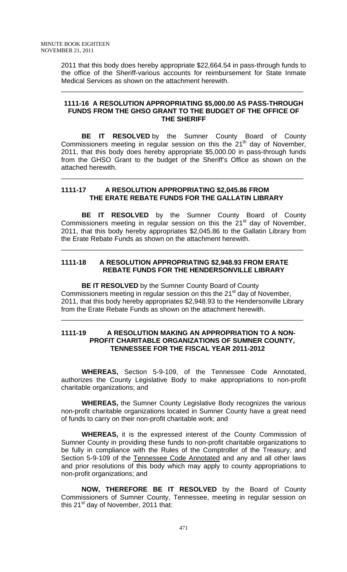2011 that this body does hereby appropriate \$22,664.54 in pass-through funds to the office of the Sheriff-various accounts for reimbursement for State Inmate Medical Services as shown on the attachment herewith.

\_\_\_\_\_\_\_\_\_\_\_\_\_\_\_\_\_\_\_\_\_\_\_\_\_\_\_\_\_\_\_\_\_\_\_\_\_\_\_\_\_\_\_\_\_\_\_\_\_\_\_\_\_\_\_\_\_\_\_\_\_\_\_\_

# **1111-16 A RESOLUTION APPROPRIATING \$5,000.00 AS PASS-THROUGH FUNDS FROM THE GHSO GRANT TO THE BUDGET OF THE OFFICE OF THE SHERIFF**

 **BE IT RESOLVED** by the Sumner County Board of County Commissioners meeting in regular session on this the  $21<sup>th</sup>$  day of November, 2011, that this body does hereby appropriate \$5,000.00 in pass-through funds from the GHSO Grant to the budget of the Sheriff's Office as shown on the attached herewith.

\_\_\_\_\_\_\_\_\_\_\_\_\_\_\_\_\_\_\_\_\_\_\_\_\_\_\_\_\_\_\_\_\_\_\_\_\_\_\_\_\_\_\_\_\_\_\_\_\_\_\_\_\_\_\_\_\_\_\_\_\_\_\_\_

# **1111-17 A RESOLUTION APPROPRIATING \$2,045.86 FROM THE ERATE REBATE FUNDS FOR THE GALLATIN LIBRARY**

**BE IT RESOLVED** by the Sumner County Board of County Commissioners meeting in regular session on this the  $21<sup>st</sup>$  day of November. 2011, that this body hereby appropriates \$2,045.86 to the Gallatin Library from the Erate Rebate Funds as shown on the attachment herewith.

\_\_\_\_\_\_\_\_\_\_\_\_\_\_\_\_\_\_\_\_\_\_\_\_\_\_\_\_\_\_\_\_\_\_\_\_\_\_\_\_\_\_\_\_\_\_\_\_\_\_\_\_\_\_\_\_\_\_\_\_\_\_\_\_

# **1111-18 A RESOLUTION APPROPRIATING \$2,948.93 FROM ERATE REBATE FUNDS FOR THE HENDERSONVILLE LIBRARY**

 **BE IT RESOLVED** by the Sumner County Board of County Commissioners meeting in regular session on this the 21<sup>st</sup> day of November, 2011, that this body hereby appropriates \$2,948.93 to the Hendersonville Library from the Erate Rebate Funds as shown on the attachment herewith.

\_\_\_\_\_\_\_\_\_\_\_\_\_\_\_\_\_\_\_\_\_\_\_\_\_\_\_\_\_\_\_\_\_\_\_\_\_\_\_\_\_\_\_\_\_\_\_\_\_\_\_\_\_\_\_\_\_\_\_\_\_\_\_\_

# **1111-19 A RESOLUTION MAKING AN APPROPRIATION TO A NON- PROFIT CHARITABLE ORGANIZATIONS OF SUMNER COUNTY, TENNESSEE FOR THE FISCAL YEAR 2011-2012**

 **WHEREAS,** Section 5-9-109, of the Tennessee Code Annotated, authorizes the County Legislative Body to make appropriations to non-profit charitable organizations; and

**WHEREAS,** the Sumner County Legislative Body recognizes the various non-profit charitable organizations located in Sumner County have a great need of funds to carry on their non-profit charitable work; and

 **WHEREAS,** it is the expressed interest of the County Commission of Sumner County in providing these funds to non-profit charitable organizations to be fully in compliance with the Rules of the Comptroller of the Treasury, and Section 5-9-109 of the Tennessee Code Annotated and any and all other laws and prior resolutions of this body which may apply to county appropriations to non-profit organizations; and

 **NOW, THEREFORE BE IT RESOLVED** by the Board of County Commissioners of Sumner County, Tennessee, meeting in regular session on this 21<sup>st</sup> day of November, 2011 that: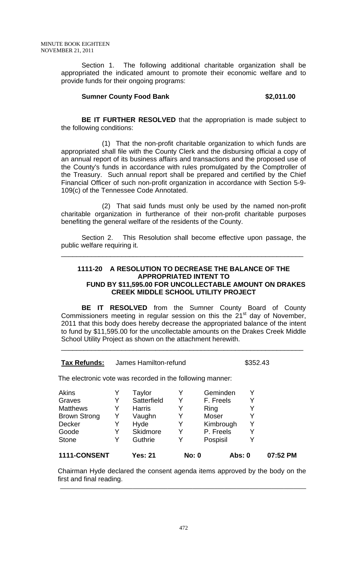Section 1. The following additional charitable organization shall be appropriated the indicated amount to promote their economic welfare and to provide funds for their ongoing programs:

# **Sumner County Food Bank 62,011.00 \$2,011.00**

**BE IT FURTHER RESOLVED** that the appropriation is made subject to the following conditions:

 (1) That the non-profit charitable organization to which funds are appropriated shall file with the County Clerk and the disbursing official a copy of an annual report of its business affairs and transactions and the proposed use of the County's funds in accordance with rules promulgated by the Comptroller of the Treasury. Such annual report shall be prepared and certified by the Chief Financial Officer of such non-profit organization in accordance with Section 5-9- 109(c) of the Tennessee Code Annotated.

 (2) That said funds must only be used by the named non-profit charitable organization in furtherance of their non-profit charitable purposes benefiting the general welfare of the residents of the County.

 Section 2. This Resolution shall become effective upon passage, the public welfare requiring it.

\_\_\_\_\_\_\_\_\_\_\_\_\_\_\_\_\_\_\_\_\_\_\_\_\_\_\_\_\_\_\_\_\_\_\_\_\_\_\_\_\_\_\_\_\_\_\_\_\_\_\_\_\_\_\_\_\_\_\_\_\_\_\_\_

# **1111-20 A RESOLUTION TO DECREASE THE BALANCE OF THE APPROPRIATED INTENT TO FUND BY \$11,595.00 FOR UNCOLLECTABLE AMOUNT ON DRAKES CREEK MIDDLE SCHOOL UTILITY PROJECT**

**BE IT RESOLVED** from the Sumner County Board of County Commissioners meeting in regular session on this the  $21<sup>st</sup>$  day of November, 2011 that this body does hereby decrease the appropriated balance of the intent to fund by \$11,595.00 for the uncollectable amounts on the Drakes Creek Middle School Utility Project as shown on the attachment herewith.

\_\_\_\_\_\_\_\_\_\_\_\_\_\_\_\_\_\_\_\_\_\_\_\_\_\_\_\_\_\_\_\_\_\_\_\_\_\_\_\_\_\_\_\_\_\_\_\_\_\_\_\_\_\_\_\_\_\_\_\_\_\_\_\_

# **Tax Refunds:** James Hamilton-refund \$352.43

The electronic vote was recorded in the following manner:

| 1111-CONSENT        |   | Yes: 21       | <b>No: 0</b> | Abs: 0    |   | 07:52 PM |
|---------------------|---|---------------|--------------|-----------|---|----------|
| <b>Stone</b>        | Y | Guthrie       | v            | Pospisil  |   |          |
| Goode               | Y | Skidmore      | Y            | P. Freels |   |          |
| Decker              | Y | Hyde          | Y            | Kimbrough | Y |          |
| <b>Brown Strong</b> | Y | Vaughn        | Y            | Moser     | v |          |
| <b>Matthews</b>     | Y | <b>Harris</b> | Y            | Ring      |   |          |
| Graves              | Y | Satterfield   | Y            | F. Freels |   |          |
| <b>Akins</b>        | Y | Taylor        | Y            | Geminden  |   |          |
|                     |   |               |              |           |   |          |

Chairman Hyde declared the consent agenda items approved by the body on the first and final reading. \_\_\_\_\_\_\_\_\_\_\_\_\_\_\_\_\_\_\_\_\_\_\_\_\_\_\_\_\_\_\_\_\_\_\_\_\_\_\_\_\_\_\_\_\_\_\_\_\_\_\_\_\_\_\_\_\_\_\_\_\_\_\_\_\_\_\_\_\_\_\_\_\_\_\_\_\_\_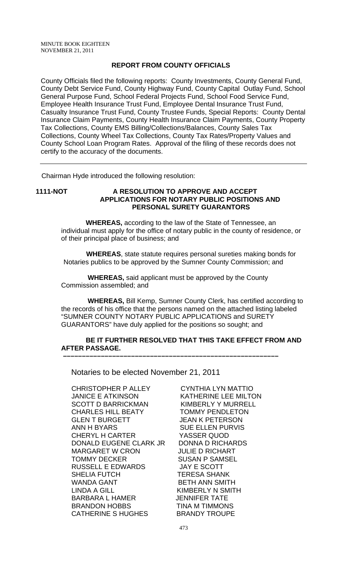# **REPORT FROM COUNTY OFFICIALS**

County Officials filed the following reports: County Investments, County General Fund, County Debt Service Fund, County Highway Fund, County Capital Outlay Fund, School General Purpose Fund, School Federal Projects Fund, School Food Service Fund, Employee Health Insurance Trust Fund, Employee Dental Insurance Trust Fund, Casualty Insurance Trust Fund, County Trustee Funds, Special Reports: County Dental Insurance Claim Payments, County Health Insurance Claim Payments, County Property Tax Collections, County EMS Billing/Collections/Balances, County Sales Tax Collections, County Wheel Tax Collections, County Tax Rates/Property Values and County School Loan Program Rates. Approval of the filing of these records does not certify to the accuracy of the documents.

Chairman Hyde introduced the following resolution:

# **1111-NOT A RESOLUTION TO APPROVE AND ACCEPT APPLICATIONS FOR NOTARY PUBLIC POSITIONS AND PERSONAL SURETY GUARANTORS**

 **WHEREAS,** according to the law of the State of Tennessee, an individual must apply for the office of notary public in the county of residence, or of their principal place of business; and

 **WHEREAS**, state statute requires personal sureties making bonds for Notaries publics to be approved by the Sumner County Commission; and

 **WHEREAS,** said applicant must be approved by the County Commission assembled; and

 **–––––––––––––––––––––––––––––––––––––––––––––––––––––––––**

 **WHEREAS,** Bill Kemp, Sumner County Clerk, has certified according to the records of his office that the persons named on the attached listing labeled "SUMNER COUNTY NOTARY PUBLIC APPLICATIONS and SURETY GUARANTORS" have duly applied for the positions so sought; and

# **BE IT FURTHER RESOLVED THAT THIS TAKE EFFECT FROM AND AFTER PASSAGE.**

Notaries to be elected November 21, 2011

CHRISTOPHER P ALLEY CYNTHIA LYN MATTIO JANICE E ATKINSON KATHERINE LEE MILTON SCOTT D BARRICKMAN KIMBERLY Y MURRELL CHARLES HILL BEATY TOMMY PENDLETON GLEN T BURGETT JEAN K PETERSON ANN H BYARS SUE ELLEN PURVIS CHERYL H CARTER YASSER QUOD DONALD EUGENE CLARK JR DONNA D RICHARDS MARGARET W CRON JULIE D RICHART TOMMY DECKER SUSAN P SAMSEL RUSSELL E EDWARDS JAY E SCOTT SHELIA FUTCH TERESA SHANK WANDA GANT BETH ANN SMITH LINDA A GILL KIMBERLY N SMITH BARBARA L HAMER
SERIFT THE STATE BRANDON HOBBS **TINA M TIMMONS** CATHERINE S HUGHES BRANDY TROUPE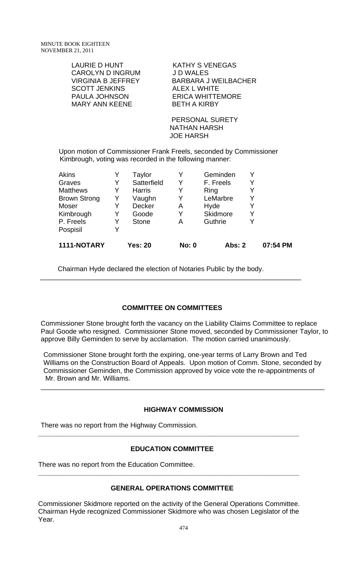CAROLYN D INGRUM J D WALES SCOTT JENKINS ALEX L WHITE PAULA JOHNSON MARY ANN KEENE BETH A KIRBY

LAURIE D HUNT KATHY S VENEGAS VIRGINIA B JEFFREY BARBARA J WEILBACHER

> PERSONAL SURETY NATHAN HARSH JOE HARSH

Upon motion of Commissioner Frank Freels, seconded by Commissioner Kimbrough, voting was recorded in the following manner:

| <b>Akins</b>        |   | Taylor         |              | Geminden      | Y |          |
|---------------------|---|----------------|--------------|---------------|---|----------|
| Graves              | Y | Satterfield    | Y            | F. Freels     | Y |          |
| <b>Matthews</b>     | Y | <b>Harris</b>  | Y            | Ring          | Y |          |
| <b>Brown Strong</b> | Y | Vaughn         | Y            | LeMarbre      | Y |          |
| Moser               | Y | <b>Decker</b>  | A            | Hyde          | Y |          |
| Kimbrough           | Y | Goode          | Y            | Skidmore      | Y |          |
| P. Freels           | Y | <b>Stone</b>   | А            | Guthrie       | Y |          |
| Pospisil            | Y |                |              |               |   |          |
| 1111-NOTARY         |   | <b>Yes: 20</b> | <b>No: 0</b> | <b>Abs: 2</b> |   | 07:54 PM |

Chairman Hyde declared the election of Notaries Public by the body.

# **COMMITTEE ON COMMITTEES**

\_\_\_\_\_\_\_\_\_\_\_\_\_\_\_\_\_\_\_\_\_\_\_\_\_\_\_\_\_\_\_\_\_\_\_\_\_\_\_\_\_\_\_\_\_\_\_\_\_\_\_\_\_\_\_\_\_\_\_\_\_\_\_\_\_\_\_\_\_

Commissioner Stone brought forth the vacancy on the Liability Claims Committee to replace Paul Goode who resigned. Commissioner Stone moved, seconded by Commissioner Taylor, to approve Billy Geminden to serve by acclamation. The motion carried unanimously.

Commissioner Stone brought forth the expiring, one-year terms of Larry Brown and Ted Williams on the Construction Board of Appeals. Upon motion of Comm. Stone, seconded by Commissioner Geminden, the Commission approved by voice vote the re-appointments of Mr. Brown and Mr. Williams.

# **HIGHWAY COMMISSION**

\_\_\_\_\_\_\_\_\_\_\_\_\_\_\_\_\_\_\_\_\_\_\_\_\_\_\_\_\_\_\_\_\_\_\_\_\_\_\_\_\_\_\_\_\_\_\_\_\_\_\_\_\_\_\_\_\_\_\_\_\_\_\_\_\_\_\_\_\_\_\_\_\_\_\_

There was no report from the Highway Commission.

# **EDUCATION COMMITTEE**

**\_\_\_\_\_\_\_\_\_\_\_\_\_\_\_\_\_\_\_\_\_\_\_\_\_\_\_\_\_\_\_\_\_\_\_\_\_\_\_\_\_\_\_\_\_\_\_\_\_\_\_\_\_\_\_\_\_\_\_\_\_\_\_\_\_\_\_\_\_** 

There was no report from the Education Committee.

# **GENERAL OPERATIONS COMMITTEE**

**\_\_\_\_\_\_\_\_\_\_\_\_\_\_\_\_\_\_\_\_\_\_\_\_\_\_\_\_\_\_\_\_\_\_\_\_\_\_\_\_\_\_\_\_\_\_\_\_\_\_\_\_\_\_\_\_\_\_\_\_\_\_\_\_\_\_\_\_\_** 

Commissioner Skidmore reported on the activity of the General Operations Committee. Chairman Hyde recognized Commissioner Skidmore who was chosen Legislator of the Year.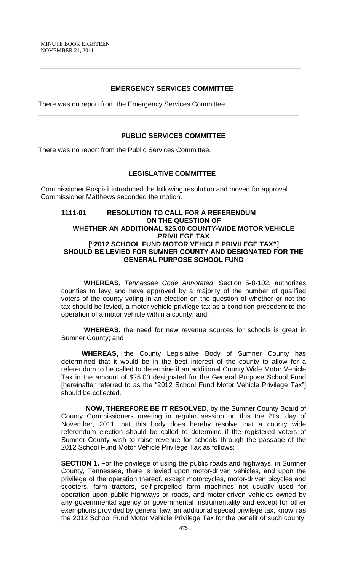# **EMERGENCY SERVICES COMMITTEE**

**\_\_\_\_\_\_\_\_\_\_\_\_\_\_\_\_\_\_\_\_\_\_\_\_\_\_\_\_\_\_\_\_\_\_\_\_\_\_\_\_\_\_\_\_\_\_\_\_\_\_\_\_\_\_\_\_\_\_\_\_\_\_\_\_\_\_\_\_\_** 

 **\_\_\_\_\_\_\_\_\_\_\_\_\_\_\_\_\_\_\_\_\_\_\_\_\_\_\_\_\_\_\_\_\_\_\_\_\_\_\_\_\_\_\_\_\_\_\_\_\_\_\_\_\_\_\_\_\_\_\_\_\_\_\_\_\_\_\_\_\_** 

There was no report from the Emergency Services Committee.

#### **PUBLIC SERVICES COMMITTEE**

There was no report from the Public Services Committee.

# **LEGISLATIVE COMMITTEE**

**\_\_\_\_\_\_\_\_\_\_\_\_\_\_\_\_\_\_\_\_\_\_\_\_\_\_\_\_\_\_\_\_\_\_\_\_\_\_\_\_\_\_\_\_\_\_\_\_\_\_\_\_\_\_\_\_\_\_\_\_\_\_\_\_\_\_\_\_\_** 

Commissioner Pospisil introduced the following resolution and moved for approval. Commissioner Matthews seconded the motion.

# **1111-01 RESOLUTION TO CALL FOR A REFERENDUM ON THE QUESTION OF WHETHER AN ADDITIONAL \$25.00 COUNTY-WIDE MOTOR VEHICLE PRIVILEGE TAX ["2012 SCHOOL FUND MOTOR VEHICLE PRIVILEGE TAX"] SHOULD BE LEVIED FOR SUMNER COUNTY AND DESIGNATED FOR THE GENERAL PURPOSE SCHOOL FUND**

 **WHEREAS,** *Tennessee Code Annotated*, Section 5-8-102, authorizes counties to levy and have approved by a majority of the number of qualified voters of the county voting in an election on the question of whether or not the tax should be levied, a motor vehicle privilege tax as a condition precedent to the operation of a motor vehicle within a county; and,

 **WHEREAS,** the need for new revenue sources for schools is great in Sumner County; and

**WHEREAS,** the County Legislative Body of Sumner County has determined that it would be in the best interest of the county to allow for a referendum to be called to determine if an additional County Wide Motor Vehicle Tax in the amount of \$25.00 designated for the General Purpose School Fund [hereinafter referred to as the "2012 School Fund Motor Vehicle Privilege Tax"] should be collected.

 **NOW, THEREFORE BE IT RESOLVED,** by the Sumner County Board of County Commissioners meeting in regular session on this the 21st day of November, 2011 that this body does hereby resolve that a county wide referendum election should be called to determine if the registered voters of Sumner County wish to raise revenue for schools through the passage of the 2012 School Fund Motor Vehicle Privilege Tax as follows:

**SECTION 1.** For the privilege of using the public roads and highways, in Sumner County, Tennessee, there is levied upon motor-driven vehicles, and upon the privilege of the operation thereof, except motorcycles, motor-driven bicycles and scooters, farm tractors, self-propelled farm machines not usually used for operation upon public highways or roads, and motor-driven vehicles owned by any governmental agency or governmental instrumentality and except for other exemptions provided by general law, an additional special privilege tax, known as the 2012 School Fund Motor Vehicle Privilege Tax for the benefit of such county,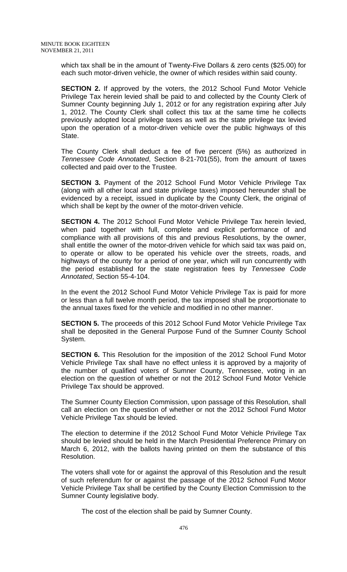which tax shall be in the amount of Twenty-Five Dollars & zero cents (\$25.00) for each such motor-driven vehicle, the owner of which resides within said county.

**SECTION 2.** If approved by the voters, the 2012 School Fund Motor Vehicle Privilege Tax herein levied shall be paid to and collected by the County Clerk of Sumner County beginning July 1, 2012 or for any registration expiring after July 1, 2012. The County Clerk shall collect this tax at the same time he collects previously adopted local privilege taxes as well as the state privilege tax levied upon the operation of a motor-driven vehicle over the public highways of this State.

The County Clerk shall deduct a fee of five percent (5%) as authorized in *Tennessee Code Annotated*, Section 8-21-701(55), from the amount of taxes collected and paid over to the Trustee.

**SECTION 3.** Payment of the 2012 School Fund Motor Vehicle Privilege Tax (along with all other local and state privilege taxes) imposed hereunder shall be evidenced by a receipt, issued in duplicate by the County Clerk, the original of which shall be kept by the owner of the motor-driven vehicle.

**SECTION 4.** The 2012 School Fund Motor Vehicle Privilege Tax herein levied, when paid together with full, complete and explicit performance of and compliance with all provisions of this and previous Resolutions, by the owner, shall entitle the owner of the motor-driven vehicle for which said tax was paid on, to operate or allow to be operated his vehicle over the streets, roads, and highways of the county for a period of one year, which will run concurrently with the period established for the state registration fees by *Tennessee Code Annotated*, Section 55-4-104.

In the event the 2012 School Fund Motor Vehicle Privilege Tax is paid for more or less than a full twelve month period, the tax imposed shall be proportionate to the annual taxes fixed for the vehicle and modified in no other manner.

**SECTION 5.** The proceeds of this 2012 School Fund Motor Vehicle Privilege Tax shall be deposited in the General Purpose Fund of the Sumner County School System.

**SECTION 6.** This Resolution for the imposition of the 2012 School Fund Motor Vehicle Privilege Tax shall have no effect unless it is approved by a majority of the number of qualified voters of Sumner County, Tennessee, voting in an election on the question of whether or not the 2012 School Fund Motor Vehicle Privilege Tax should be approved.

The Sumner County Election Commission, upon passage of this Resolution, shall call an election on the question of whether or not the 2012 School Fund Motor Vehicle Privilege Tax should be levied.

The election to determine if the 2012 School Fund Motor Vehicle Privilege Tax should be levied should be held in the March Presidential Preference Primary on March 6, 2012, with the ballots having printed on them the substance of this Resolution.

The voters shall vote for or against the approval of this Resolution and the result of such referendum for or against the passage of the 2012 School Fund Motor Vehicle Privilege Tax shall be certified by the County Election Commission to the Sumner County legislative body.

The cost of the election shall be paid by Sumner County.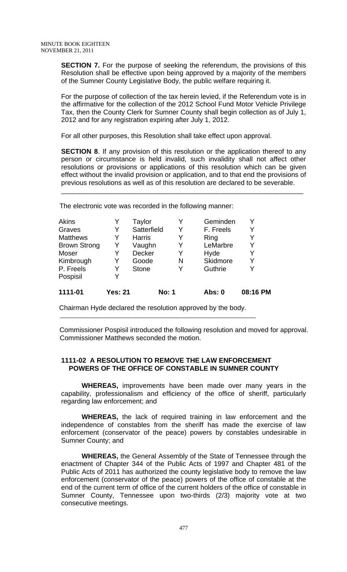**SECTION 7.** For the purpose of seeking the referendum, the provisions of this Resolution shall be effective upon being approved by a majority of the members of the Sumner County Legislative Body, the public welfare requiring it.

For the purpose of collection of the tax herein levied, if the Referendum vote is in the affirmative for the collection of the 2012 School Fund Motor Vehicle Privilege Tax, then the County Clerk for Sumner County shall begin collection as of July 1, 2012 and for any registration expiring after July 1, 2012.

For all other purposes, this Resolution shall take effect upon approval.

**SECTION 8**. If any provision of this resolution or the application thereof to any person or circumstance is held invalid, such invalidity shall not affect other resolutions or provisions or applications of this resolution which can be given effect without the invalid provision or application, and to that end the provisions of previous resolutions as well as of this resolution are declared to be severable.

\_\_\_\_\_\_\_\_\_\_\_\_\_\_\_\_\_\_\_\_\_\_\_\_\_\_\_\_\_\_\_\_\_\_\_\_\_\_\_\_\_\_\_\_\_\_\_\_\_\_\_\_\_\_\_\_\_\_\_\_\_\_\_\_

The electronic vote was recorded in the following manner:

| Akins               | Y              | Taylor        |              | Y | Geminden        |          |
|---------------------|----------------|---------------|--------------|---|-----------------|----------|
| Graves              | Y              | Satterfield   |              | Y | F. Freels       | Y        |
| <b>Matthews</b>     | Y              | <b>Harris</b> |              | Y | Ring            |          |
| <b>Brown Strong</b> | Y              | Vaughn        |              | Y | LeMarbre        | Y        |
| Moser               | Y              | <b>Decker</b> |              | Y | Hyde            | Y        |
| Kimbrough           | Y              | Goode         |              | N | <b>Skidmore</b> | Y        |
| P. Freels           | Y              | <b>Stone</b>  |              | Y | Guthrie         | Y        |
| Pospisil            | Y              |               |              |   |                 |          |
| 1111-01             | <b>Yes: 21</b> |               | <b>No: 1</b> |   | Abs: 0          | 08:16 PM |

Chairman Hyde declared the resolution approved by the body.

 Commissioner Pospisil introduced the following resolution and moved for approval. Commissioner Matthews seconded the motion.

# **1111-02 A RESOLUTION TO REMOVE THE LAW ENFORCEMENT POWERS OF THE OFFICE OF CONSTABLE IN SUMNER COUNTY**

 **WHEREAS,** improvements have been made over many years in the capability, professionalism and efficiency of the office of sheriff, particularly regarding law enforcement; and

**WHEREAS,** the lack of required training in law enforcement and the independence of constables from the sheriff has made the exercise of law enforcement (conservator of the peace) powers by constables undesirable in Sumner County; and

**WHEREAS,** the General Assembly of the State of Tennessee through the enactment of Chapter 344 of the Public Acts of 1997 and Chapter 481 of the Public Acts of 2011 has authorized the county legislative body to remove the law enforcement (conservator of the peace) powers of the office of constable at the end of the current term of office of the current holders of the office of constable in Sumner County, Tennessee upon two-thirds (2/3) majority vote at two consecutive meetings.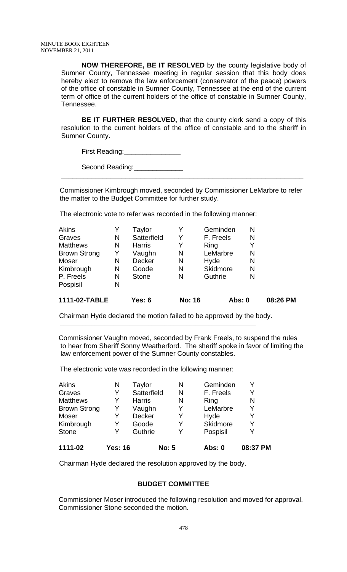**NOW THEREFORE, BE IT RESOLVED** by the county legislative body of Sumner County, Tennessee meeting in regular session that this body does hereby elect to remove the law enforcement (conservator of the peace) powers of the office of constable in Sumner County, Tennessee at the end of the current term of office of the current holders of the office of constable in Sumner County, Tennessee.

**BE IT FURTHER RESOLVED,** that the county clerk send a copy of this resolution to the current holders of the office of constable and to the sheriff in Sumner County.

First Reading:\_\_\_\_\_\_\_\_\_\_\_\_\_\_\_

Second Reading:

 Commissioner Kimbrough moved, seconded by Commissioner LeMarbre to refer the matter to the Budget Committee for further study.

\_\_\_\_\_\_\_\_\_\_\_\_\_\_\_\_\_\_\_\_\_\_\_\_\_\_\_\_\_\_\_\_\_\_\_\_\_\_\_\_\_\_\_\_\_\_\_\_\_\_\_\_\_\_\_\_\_\_\_\_\_\_\_\_

The electronic vote to refer was recorded in the following manner:

| 1111-02-TABLE       |   | Yes: $6$      | <b>No: 16</b> |                 | Abs: 0 | 08:26 PM |
|---------------------|---|---------------|---------------|-----------------|--------|----------|
| Pospisil            | N |               |               |                 |        |          |
| P. Freels           | N | <b>Stone</b>  | N             | Guthrie         | N      |          |
| Kimbrough           | N | Goode         | N             | <b>Skidmore</b> | N      |          |
| Moser               | N | <b>Decker</b> | N             | Hyde            | N      |          |
| <b>Brown Strong</b> | Y | Vaughn        | N             | LeMarbre        | N      |          |
| <b>Matthews</b>     | N | <b>Harris</b> | Y             | Ring            |        |          |
| Graves              | N | Satterfield   | Y             | F. Freels       | N      |          |
| Akins               | Y | Taylor        |               | Geminden        | Ν      |          |

Chairman Hyde declared the motion failed to be approved by the body.

Commissioner Vaughn moved, seconded by Frank Freels, to suspend the rules to hear from Sheriff Sonny Weatherford. The sheriff spoke in favor of limiting the law enforcement power of the Sumner County constables.

The electronic vote was recorded in the following manner:

| 1111-02             | <b>Yes: 16</b> |               | <b>No: 5</b> | Abs: 0    | 08:37 PM |
|---------------------|----------------|---------------|--------------|-----------|----------|
| <b>Stone</b>        | Y              | Guthrie       | Y            | Pospisil  | Y        |
| Kimbrough           | Y              | Goode         | Y            | Skidmore  | Y        |
| Moser               | Y              | <b>Decker</b> | Y            | Hyde      | Y        |
| <b>Brown Strong</b> | Y              | Vaughn        | Y            | LeMarbre  | Y        |
| <b>Matthews</b>     | Y              | <b>Harris</b> | N            | Ring      | N        |
| Graves              | Y              | Satterfield   | N            | F. Freels | Y        |
| <b>Akins</b>        | N              | Taylor        | N            | Geminden  |          |

Chairman Hyde declared the resolution approved by the body.

# **BUDGET COMMITTEE**

Commissioner Moser introduced the following resolution and moved for approval. Commissioner Stone seconded the motion.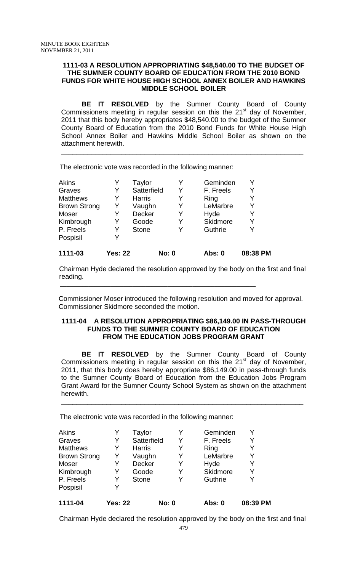# **1111-03 A RESOLUTION APPROPRIATING \$48,540.00 TO THE BUDGET OF THE SUMNER COUNTY BOARD OF EDUCATION FROM THE 2010 BOND FUNDS FOR WHITE HOUSE HIGH SCHOOL ANNEX BOILER AND HAWKINS MIDDLE SCHOOL BOILER**

**BE IT RESOLVED** by the Sumner County Board of County Commissioners meeting in regular session on this the  $21<sup>st</sup>$  day of November, 2011 that this body hereby appropriates \$48,540.00 to the budget of the Sumner County Board of Education from the 2010 Bond Funds for White House High School Annex Boiler and Hawkins Middle School Boiler as shown on the attachment herewith.

\_\_\_\_\_\_\_\_\_\_\_\_\_\_\_\_\_\_\_\_\_\_\_\_\_\_\_\_\_\_\_\_\_\_\_\_\_\_\_\_\_\_\_\_\_\_\_\_\_\_\_\_\_\_\_\_\_\_\_\_\_\_\_\_

The electronic vote was recorded in the following manner:

| <b>Akins</b>        |                | Taylor        |              | Geminden  | v        |
|---------------------|----------------|---------------|--------------|-----------|----------|
| Graves              | Y              | Satterfield   | Y            | F. Freels | Y        |
| <b>Matthews</b>     | Y              | <b>Harris</b> | Y            | Ring      | Y        |
| <b>Brown Strong</b> | Y              | Vaughn        | Y            | LeMarbre  | Y        |
| Moser               | Y              | Decker        | Y            | Hyde      | Y        |
| Kimbrough           | Y              | Goode         | Y            | Skidmore  | Y        |
| P. Freels           | Y              | <b>Stone</b>  | Y            | Guthrie   | ٧        |
| Pospisil            | Y              |               |              |           |          |
| 1111-03             | <b>Yes: 22</b> |               | <b>No: 0</b> | Abs: 0    | 08:38 PM |

 Chairman Hyde declared the resolution approved by the body on the first and final reading. \_\_\_\_\_\_\_\_\_\_\_\_\_\_\_\_\_\_\_\_\_\_\_\_\_\_\_\_\_\_\_\_\_\_\_\_\_\_\_\_\_\_\_\_\_\_\_\_\_\_\_\_\_\_\_\_\_\_\_\_\_\_

Commissioner Moser introduced the following resolution and moved for approval. Commissioner Skidmore seconded the motion.

#### **1111-04 A RESOLUTION APPROPRIATING \$86,149.00 IN PASS-THROUGH FUNDS TO THE SUMNER COUNTY BOARD OF EDUCATION FROM THE EDUCATION JOBS PROGRAM GRANT**

 **BE IT RESOLVED** by the Sumner County Board of County Commissioners meeting in regular session on this the  $21<sup>st</sup>$  day of November, 2011, that this body does hereby appropriate \$86,149.00 in pass-through funds to the Sumner County Board of Education from the Education Jobs Program Grant Award for the Sumner County School System as shown on the attachment herewith.

\_\_\_\_\_\_\_\_\_\_\_\_\_\_\_\_\_\_\_\_\_\_\_\_\_\_\_\_\_\_\_\_\_\_\_\_\_\_\_\_\_\_\_\_\_\_\_\_\_\_\_\_\_\_\_\_\_\_\_\_\_\_\_\_

The electronic vote was recorded in the following manner:

| <b>Akins</b>        |                | Taylor        |              | Geminden  |          |
|---------------------|----------------|---------------|--------------|-----------|----------|
| Graves              | Y              | Satterfield   | Y            | F. Freels | Y        |
| <b>Matthews</b>     | Y              | <b>Harris</b> | Y            | Ring      | Y        |
| <b>Brown Strong</b> | Y              | Vaughn        | Y            | LeMarbre  | Y        |
| Moser               | Y              | <b>Decker</b> | Y            | Hyde      | Y        |
| Kimbrough           | Y              | Goode         | Y            | Skidmore  | Y        |
| P. Freels           | Y              | <b>Stone</b>  | Y            | Guthrie   | Y        |
| Pospisil            | Y              |               |              |           |          |
| 1111-04             | <b>Yes: 22</b> |               | <b>No: 0</b> | Abs: 0    | 08:39 PM |

Chairman Hyde declared the resolution approved by the body on the first and final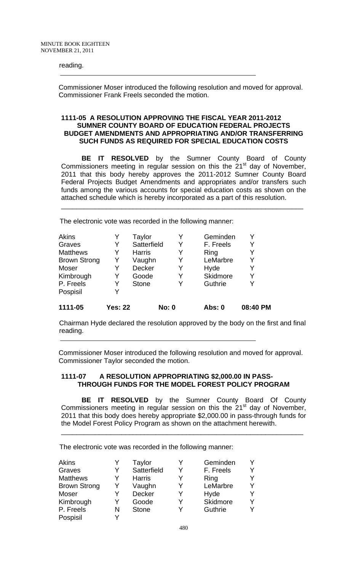# reading. \_\_\_\_\_\_\_\_\_\_\_\_\_\_\_\_\_\_\_\_\_\_\_\_\_\_\_\_\_\_\_\_\_\_\_\_\_\_\_\_\_\_\_\_\_\_\_\_\_\_\_\_\_\_\_\_\_\_\_\_\_\_

Commissioner Moser introduced the following resolution and moved for approval. Commissioner Frank Freels seconded the motion.

# **1111-05 A RESOLUTION APPROVING THE FISCAL YEAR 2011-2012 SUMNER COUNTY BOARD OF EDUCATION FEDERAL PROJECTS BUDGET AMENDMENTS AND APPROPRIATING AND/OR TRANSFERRING SUCH FUNDS AS REQUIRED FOR SPECIAL EDUCATION COSTS**

 **BE IT RESOLVED** by the Sumner County Board of County Commissioners meeting in regular session on this the  $21<sup>st</sup>$  day of November, 2011 that this body hereby approves the 2011-2012 Sumner County Board Federal Projects Budget Amendments and appropriates and/or transfers such funds among the various accounts for special education costs as shown on the attached schedule which is hereby incorporated as a part of this resolution.

\_\_\_\_\_\_\_\_\_\_\_\_\_\_\_\_\_\_\_\_\_\_\_\_\_\_\_\_\_\_\_\_\_\_\_\_\_\_\_\_\_\_\_\_\_\_\_\_\_\_\_\_\_\_\_\_\_\_\_\_\_\_\_\_

The electronic vote was recorded in the following manner:

| Akins               | Y              | Taylor        |              | Y | Geminden      |          |
|---------------------|----------------|---------------|--------------|---|---------------|----------|
| Graves              | Y              | Satterfield   |              | Y | F. Freels     |          |
| <b>Matthews</b>     | Y              | <b>Harris</b> |              | Y | Ring          |          |
| <b>Brown Strong</b> | Y              | Vaughn        |              | Y | LeMarbre      |          |
| Moser               | Y              | Decker        |              | Y | Hyde          |          |
| Kimbrough           | Y              | Goode         |              | Y | Skidmore      | Y        |
| P. Freels           | Y              | <b>Stone</b>  |              | Y | Guthrie       |          |
| Pospisil            | Y              |               |              |   |               |          |
| 1111-05             | <b>Yes: 22</b> |               | <b>No: 0</b> |   | <b>Abs: 0</b> | 08:40 PM |

 Chairman Hyde declared the resolution approved by the body on the first and final reading. \_\_\_\_\_\_\_\_\_\_\_\_\_\_\_\_\_\_\_\_\_\_\_\_\_\_\_\_\_\_\_\_\_\_\_\_\_\_\_\_\_\_\_\_\_\_\_\_\_\_\_\_\_\_\_\_\_\_\_\_\_\_

Commissioner Moser introduced the following resolution and moved for approval. Commissioner Taylor seconded the motion.

# **1111-07 A RESOLUTION APPROPRIATING \$2,000.00 IN PASS-THROUGH FUNDS FOR THE MODEL FOREST POLICY PROGRAM**

**BE IT RESOLVED** by the Sumner County Board Of County Commissioners meeting in regular session on this the  $21<sup>st</sup>$  day of November, 2011 that this body does hereby appropriate \$2,000.00 in pass-through funds for the Model Forest Policy Program as shown on the attachment herewith.

\_\_\_\_\_\_\_\_\_\_\_\_\_\_\_\_\_\_\_\_\_\_\_\_\_\_\_\_\_\_\_\_\_\_\_\_\_\_\_\_\_\_\_\_\_\_\_\_\_\_\_\_\_\_\_\_\_\_\_\_\_\_\_\_

The electronic vote was recorded in the following manner:

| <b>Akins</b>        |   | Taylor        | Y | Geminden  |   |
|---------------------|---|---------------|---|-----------|---|
| Graves              | Y | Satterfield   | Y | F. Freels |   |
| <b>Matthews</b>     | Y | <b>Harris</b> | Y | Ring      |   |
| <b>Brown Strong</b> | Y | Vaughn        | Y | LeMarbre  |   |
| Moser               | Y | Decker        | Y | Hyde      |   |
| Kimbrough           | Y | Goode         | Y | Skidmore  | v |
| P. Freels           | N | <b>Stone</b>  |   | Guthrie   |   |
| Pospisil            | v |               |   |           |   |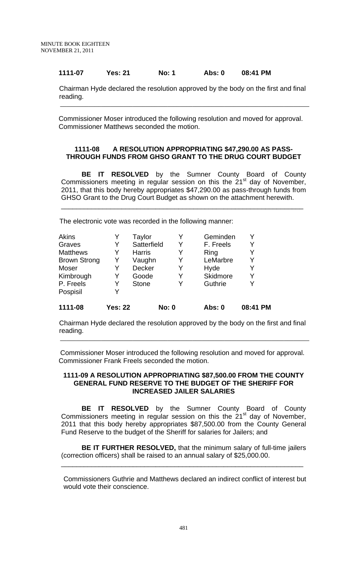# **1111-07 Yes: 21 No: 1 Abs: 0 08:41 PM**

 Chairman Hyde declared the resolution approved by the body on the first and final reading. \_\_\_\_\_\_\_\_\_\_\_\_\_\_\_\_\_\_\_\_\_\_\_\_\_\_\_\_\_\_\_\_\_\_\_\_\_\_\_\_\_\_\_\_\_\_\_\_\_\_\_\_\_\_\_\_\_\_\_\_\_\_\_\_\_\_\_\_\_\_\_\_\_\_\_\_\_\_\_

Commissioner Moser introduced the following resolution and moved for approval. Commissioner Matthews seconded the motion.

# **1111-08 A RESOLUTION APPROPRIATING \$47,290.00 AS PASS-THROUGH FUNDS FROM GHSO GRANT TO THE DRUG COURT BUDGET**

 **BE IT RESOLVED** by the Sumner County Board of County Commissioners meeting in regular session on this the 21<sup>st</sup> day of November, 2011, that this body hereby appropriates \$47,290.00 as pass-through funds from GHSO Grant to the Drug Court Budget as shown on the attachment herewith.

\_\_\_\_\_\_\_\_\_\_\_\_\_\_\_\_\_\_\_\_\_\_\_\_\_\_\_\_\_\_\_\_\_\_\_\_\_\_\_\_\_\_\_\_\_\_\_\_\_\_\_\_\_\_\_\_\_\_\_\_\_\_\_\_

The electronic vote was recorded in the following manner:

| Akins               |                | Taylor        |              |   | Geminden      |          |
|---------------------|----------------|---------------|--------------|---|---------------|----------|
| Graves              | Y              | Satterfield   |              | Y | F. Freels     | Y        |
| <b>Matthews</b>     | Y              | <b>Harris</b> |              | Y | Ring          |          |
| <b>Brown Strong</b> | Y              | Vaughn        |              | Y | LeMarbre      |          |
| Moser               | Y              | Decker        |              | Y | Hyde          |          |
| Kimbrough           | Y              | Goode         |              | Y | Skidmore      | Y        |
| P. Freels           | Y              | <b>Stone</b>  |              | Y | Guthrie       |          |
| Pospisil            | Y              |               |              |   |               |          |
| 1111-08             | <b>Yes: 22</b> |               | <b>No: 0</b> |   | <b>Abs: 0</b> | 08:41 PM |

 Chairman Hyde declared the resolution approved by the body on the first and final reading. \_\_\_\_\_\_\_\_\_\_\_\_\_\_\_\_\_\_\_\_\_\_\_\_\_\_\_\_\_\_\_\_\_\_\_\_\_\_\_\_\_\_\_\_\_\_\_\_\_\_\_\_\_\_\_\_\_\_\_\_\_\_\_\_\_\_\_\_\_\_\_\_\_\_\_\_\_\_\_

Commissioner Moser introduced the following resolution and moved for approval. Commissioner Frank Freels seconded the motion.

# **1111-09 A RESOLUTION APPROPRIATING \$87,500.00 FROM THE COUNTY GENERAL FUND RESERVE TO THE BUDGET OF THE SHERIFF FOR INCREASED JAILER SALARIES**

 **BE IT RESOLVED** by the Sumner County Board of County Commissioners meeting in regular session on this the  $21<sup>st</sup>$  day of November, 2011 that this body hereby appropriates \$87,500.00 from the County General Fund Reserve to the budget of the Sheriff for salaries for Jailers; and

**BE IT FURTHER RESOLVED,** that the minimum salary of full-time jailers (correction officers) shall be raised to an annual salary of \$25,000.00.

\_\_\_\_\_\_\_\_\_\_\_\_\_\_\_\_\_\_\_\_\_\_\_\_\_\_\_\_\_\_\_\_\_\_\_\_\_\_\_\_\_\_\_\_\_\_\_\_\_\_\_\_\_\_\_\_\_\_\_\_\_\_\_\_

Commissioners Guthrie and Matthews declared an indirect conflict of interest but would vote their conscience.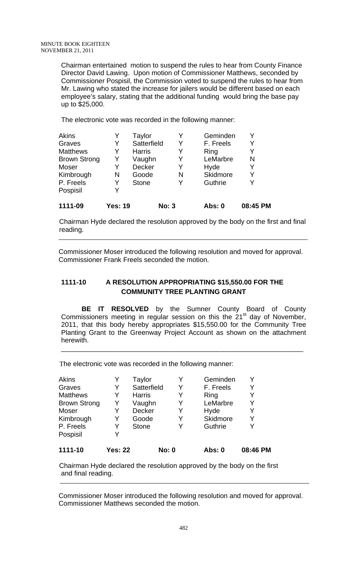Chairman entertained motion to suspend the rules to hear from County Finance Director David Lawing. Upon motion of Commissioner Matthews, seconded by Commissioner Pospisil, the Commission voted to suspend the rules to hear from Mr. Lawing who stated the increase for jailers would be different based on each employee's salary, stating that the additional funding would bring the base pay up to \$25,000.

The electronic vote was recorded in the following manner:

| <b>Akins</b>        |                | Taylor        |              | Geminden        | Y        |  |
|---------------------|----------------|---------------|--------------|-----------------|----------|--|
| Graves              | Y              | Satterfield   | Y            | F. Freels       | Y        |  |
| <b>Matthews</b>     | Y              | <b>Harris</b> | Y            | Ring            | Y        |  |
| <b>Brown Strong</b> | Y              | Vaughn        | Y            | LeMarbre        | N        |  |
| Moser               | Y              | Decker        | Y            | Hyde            | Y        |  |
| Kimbrough           | N              | Goode         | N            | <b>Skidmore</b> | Y        |  |
| P. Freels           | Y              | <b>Stone</b>  | Y            | Guthrie         | Y        |  |
| Pospisil            | Y              |               |              |                 |          |  |
| 1111-09             | <b>Yes: 19</b> |               | <b>No: 3</b> | Abs: 0          | 08:45 PM |  |

 Chairman Hyde declared the resolution approved by the body on the first and final reading. \_\_\_\_\_\_\_\_\_\_\_\_\_\_\_\_\_\_\_\_\_\_\_\_\_\_\_\_\_\_\_\_\_\_\_\_\_\_\_\_\_\_\_\_\_\_\_\_\_\_\_\_\_\_\_\_\_\_\_\_\_\_\_\_\_\_\_\_\_\_\_\_\_\_\_\_\_\_\_

Commissioner Moser introduced the following resolution and moved for approval. Commissioner Frank Freels seconded the motion.

# **1111-10 A RESOLUTION APPROPRIATING \$15,550.00 FOR THE COMMUNITY TREE PLANTING GRANT**

 **BE IT RESOLVED** by the Sumner County Board of County Commissioners meeting in regular session on this the  $21<sup>st</sup>$  day of November, 2011, that this body hereby appropriates \$15,550.00 for the Community Tree Planting Grant to the Greenway Project Account as shown on the attachment herewith.

\_\_\_\_\_\_\_\_\_\_\_\_\_\_\_\_\_\_\_\_\_\_\_\_\_\_\_\_\_\_\_\_\_\_\_\_\_\_\_\_\_\_\_\_\_\_\_\_\_\_\_\_\_\_\_\_\_\_\_\_\_\_\_\_

The electronic vote was recorded in the following manner:

| 1111-10             | <b>Yes: 22</b> |               | <b>No: 0</b> | Abs: 0    | 08:46 PM |
|---------------------|----------------|---------------|--------------|-----------|----------|
| Pospisil            | Y              |               |              |           |          |
| P. Freels           | Y              | <b>Stone</b>  | Y            | Guthrie   | Y        |
| Kimbrough           | Y              | Goode         | Y            | Skidmore  | Y        |
| Moser               | Y              | <b>Decker</b> | Y            | Hyde      | Y        |
| <b>Brown Strong</b> | Y              | Vaughn        | Y            | LeMarbre  | Y        |
| <b>Matthews</b>     | Y              | <b>Harris</b> | Y            | Ring      | Y        |
| Graves              | Y              | Satterfield   | Y            | F. Freels | Y        |
| <b>Akins</b>        | Y              | Taylor        | Y            | Geminden  | Y        |

 Chairman Hyde declared the resolution approved by the body on the first and final reading. \_\_\_\_\_\_\_\_\_\_\_\_\_\_\_\_\_\_\_\_\_\_\_\_\_\_\_\_\_\_\_\_\_\_\_\_\_\_\_\_\_\_\_\_\_\_\_\_\_\_\_\_\_\_\_\_\_\_\_\_\_\_\_\_\_\_\_\_\_\_\_\_\_\_\_\_\_\_\_

Commissioner Moser introduced the following resolution and moved for approval. Commissioner Matthews seconded the motion.